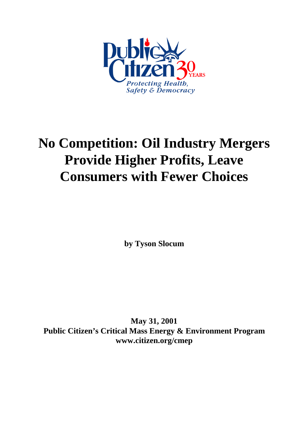

# **No Competition: Oil Industry Mergers Provide Higher Profits, Leave Consumers with Fewer Choices**

**by Tyson Slocum**

**May 31, 2001 Public Citizen's Critical Mass Energy & Environment Program www.citizen.org/cmep**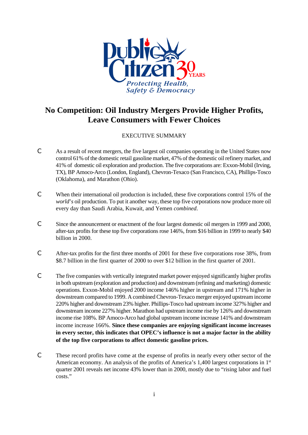

# **No Competition: Oil Industry Mergers Provide Higher Profits, Leave Consumers with Fewer Choices**

# EXECUTIVE SUMMARY

- C As a result of recent mergers, the five largest oil companies operating in the United States now control 61% of the domestic retail gasoline market, 47% of the domestic oil refinery market, and 41% of domestic oil exploration and production. The five corporations are: Exxon-Mobil (Irving, TX), BP Amoco-Arco (London, England), Chevron-Texaco (San Francisco, CA), Phillips-Tosco (Oklahoma), and Marathon (Ohio).
- C When their international oil production is included, these five corporations control 15% of the *world*'*s* oil production. To put it another way, these top five corporations now produce more oil every day than Saudi Arabia, Kuwait, and Yemen *combined*.
- C Since the announcement or enactment of the four largest domestic oil mergers in 1999 and 2000, after-tax profits for these top five corporations rose 146%, from \$16 billion in 1999 to nearly \$40 billion in 2000.
- C After-tax profits for the first three months of 2001 for these five corporations rose 38%, from \$8.7 billion in the first quarter of 2000 to over \$12 billion in the first quarter of 2001.
- C The five companies with vertically integrated market power enjoyed significantly higher profits in both upstream (exploration and production) and downstream (refining and marketing) domestic operations. Exxon-Mobil enjoyed 2000 income 146% higher in upstream and 171% higher in downstream compared to 1999. A combined Chevron-Texaco merger enjoyed upstream income 220% higher and downstream 23% higher. Phillips-Tosco had upstream income 327% higher and downstream income 227% higher. Marathon had upstream income rise by 126% and downstream income rise 108%. BP Amoco-Arco had global upstream income increase 141% and downstream income increase 166%. **Since these companies are enjoying significant income increases in every sector, this indicates that OPEC's influence is not a major factor in the ability of the top five corporations to affect domestic gasoline prices.**
- C These record profits have come at the expense of profits in nearly every other sector of the American economy. An analysis of the profits of America's 1,400 largest corporations in 1<sup>st</sup> quarter 2001 reveals net income 43% lower than in 2000, mostly due to "rising labor and fuel costs."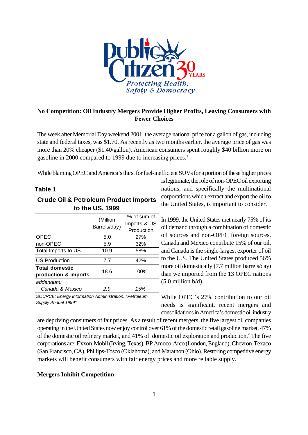

# **No Competition: Oil Industry Mergers Provide Higher Profits, Leaving Consumers with Fewer Choices**

The week after Memorial Day weekend 2001, the average national price for a gallon of gas, including state and federal taxes, was \$1.70. As recently as two months earlier, the average price of gas was more than 20% cheaper (\$1.40/gallon). American consumers spent roughly \$40 billion more on gasoline in 2000 compared to 1999 due to increasing prices.<sup>1</sup>

While blaming OPEC and America's thirst for fuel-inefficient SUVs for a portion of these higher prices

## **Table 1**

| <b>Crude Oil &amp; Petroleum Product Imports</b><br>to the US, 1999          |                          |                                           |  |  |  |  |  |
|------------------------------------------------------------------------------|--------------------------|-------------------------------------------|--|--|--|--|--|
|                                                                              | (Million<br>Barrels/day) | % of sum of<br>Imports & US<br>Production |  |  |  |  |  |
| <b>OPEC</b>                                                                  | 5.0                      | 27%                                       |  |  |  |  |  |
| non-OPEC                                                                     | 5.9                      | 32%                                       |  |  |  |  |  |
| Total Imports to US                                                          | 10.9                     | 58%                                       |  |  |  |  |  |
| <b>US Production</b>                                                         | 7.7                      | 42%                                       |  |  |  |  |  |
| <b>Total domestic</b><br>production & imports                                | 18.6                     | 100%                                      |  |  |  |  |  |
| addendum:                                                                    |                          |                                           |  |  |  |  |  |
| Canada & Mexico                                                              | 2.9                      | 15%                                       |  |  |  |  |  |
| SOURCE: Energy Information Administration, "Petroleum<br>Supply Annual 1999" |                          |                                           |  |  |  |  |  |

is legitimate, the role of non-OPEC oil exporting nations, and specifically the multinational corporations which extract and export the oil to the United States, is important to consider.

In 1999, the United States met nearly 75% of its oil demand through a combination of domestic oil sources and non-OPEC foreign sources. Canada and Mexico contribute 15% of our oil, and Canada is the single-largest exporter of oil to the U.S. The United States produced 56% more oil domestically (7.7 million barrels/day) than we imported from the 13 OPEC nations  $(5.0 \text{ million } b/d)$ .

While OPEC's 27% contribution to our oil needs is significant, recent mergers and consolidations in America's domestic oil industry

are depriving consumers of fair prices. As a result of recent mergers, the five largest oil companies operating in the United States now enjoy control over 61% of the domestic retail gasoline market, 47% of the domestic oil refinery market, and 41% of domestic oil exploration and production.<sup>2</sup> The five corporations are: Exxon-Mobil (Irving, Texas), BP Amoco-Arco (London,England), Chevron-Texaco (San Francisco, CA), Phillips-Tosco (Oklahoma), and Marathon (Ohio). Restoring competitive energy markets will benefit consumers with fair energy prices and more reliable supply.

# **Mergers Inhibit Competition**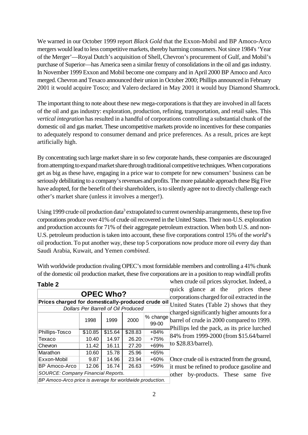We warned in our October 1999 report *Black Gold* that the Exxon-Mobil and BP Amoco-Arco mergers would lead to less competitive markets, thereby harming consumers. Not since 1984's 'Year of the Merger'—Royal Dutch's acquisition of Shell, Chevron's procurement of Gulf, and Mobil's purchase of Superior—has America seen a similar frenzy of consolidations in the oil and gas industry. In November 1999 Exxon and Mobil become one company and in April 2000 BP Amoco and Arco merged. Chevron and Texaco announced their union in October 2000; Phillips announced in February 2001 it would acquire Tosco; and Valero declared in May 2001 it would buy Diamond Shamrock.

The important thing to note about these new mega-corporations is that they are involved in all facets of the oil and gas industry: exploration, production, refining, transportation, and retail sales. This *vertical integration* has resulted in a handful of corporations controlling a substantial chunk of the domestic oil and gas market. These uncompetitive markets provide no incentives for these companies to adequately respond to consumer demand and price preferences. As a result, prices are kept artificially high.

By concentrating such large market share in so few corporate hands, these companies are discouraged from attempting to expand market share through traditional competitive techniques. When corporations get as big as these have, engaging in a price war to compete for new consumers' business can be seriously debilitating to a company's revenues and profits. The more palatable approach these Big Five have adopted, for the benefit of their shareholders, is to silently agree not to directly challenge each other's market share (unless it involves a merger!).

Using 1999 crude oil production data<sup>3</sup> extrapolated to current ownership arrangements, these top five corporations produce over 41% of crude oil recovered in the United States. Their non-U.S. exploration and production accounts for 71% of their aggregate petroleum extraction. When both U.S. and non-U.S. petroleum production is taken into account, these five corporations control 15% of the *world*'s oil production. To put another way, these top 5 corporations now produce more oil every day than Saudi Arabia, Kuwait, and Yemen *combined*.

With worldwide production rivaling OPEC's most formidable members and controlling a 41% chunk of the domestic oil production market, these five corporations are in a position to reap windfall profits

| rapie z                                                  |         |         |         |                   |  |  |  |
|----------------------------------------------------------|---------|---------|---------|-------------------|--|--|--|
| <b>OPEC Who?</b>                                         |         |         |         |                   |  |  |  |
| Prices charged for domestically-produced crude oil       |         |         |         |                   |  |  |  |
| U<br>Dollars Per Barrell of Oil Produced<br>ch           |         |         |         |                   |  |  |  |
|                                                          | 1998    | 1999    | 2000    | % change<br>99-00 |  |  |  |
| Phillips-Tosco                                           | \$10.85 | \$15.64 | \$28.83 | $+84%$            |  |  |  |
| Texaco                                                   | 10.40   | 14.97   | 26.20   | $+75%$            |  |  |  |
| Chevron                                                  | 11.42   | 16.11   | 27.20   | $+69%$            |  |  |  |
| Marathon                                                 | 10.60   | 15.78   | 25.96   | $+65%$            |  |  |  |
| Exxon-Mobil                                              | 9.87    | 14.96   | 23.94   | $+60%$            |  |  |  |
| <b>BP Amoco-Arco</b>                                     | 12.06   | 16.74   | 26.63   | $+59%$            |  |  |  |
| <b>SOURCE: Company Financial Reports.</b>                |         |         |         |                   |  |  |  |
| BP Amoco-Arco price is average for worldwide production. |         |         |         |                   |  |  |  |

**Table 2** 

when crude oil prices skyrocket. Indeed, a quick glance at the prices these corporations charged for oil extracted in the inted States (Table 2) shows that they arged significantly higher amounts for a arrel of crude in 2000 compared to 1999. hillips led the pack, as its price lurched 84% from 1999-2000 (from \$15.64/barrel \$28.83/barrel).

nce crude oil is extracted from the ground, must be refined to produce gasoline and ther by-products. These same five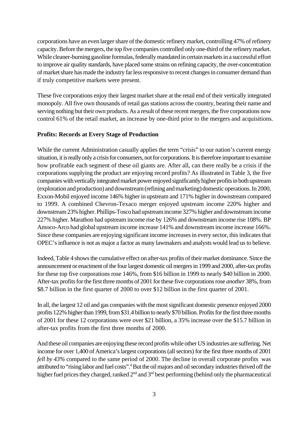corporations have an even larger share of the domestic refinery market, controlling 47% of refinery capacity. Before themergers, the top five companies controlled only one-third of the refinery market. While cleaner-burning gasoline formulas, federally mandated in certain markets in a successful effort to improve air quality standards, have placed some strains on refining capacity, the over-concentration of market share has made the industry far less responsive to recent changes in consumer demand than if truly competitive markets were present.

These five corporations enjoy their largest market share at the retail end of their vertically integrated monopoly. All five own thousands of retail gas stations across the country, bearing their name and serving nothing but their own products. As a result of these recent mergers, the five corporations now control 61% of the retail market, an increase by one-third prior to the mergers and acquisitions.

#### **Profits: Records at Every Stage of Production**

While the current Administration casually applies the term "crisis" to our nation's current energy situation, it is really only a crisis for consumers, not for corporations. It is therefore important to examine how profitable each segment of these oil giants are. After all, can there really be a crisis if the corporations supplying the product are enjoying record profits? As illustrated in Table 3, the five companies with vertically integrated market power enjoyed significantly higher profits in both upstream (exploration and production) and downstream (refining and marketing) domestic operations. In 2000, Exxon-Mobil enjoyed income 146% higher in upstream and 171% higher in downstream compared to 1999. A combined Chevron-Texaco merger enjoyed upstream income 220% higher and downstream 23% higher. Phillips-Tosco had upstreamincome 327% higher and downstream income 227% higher. Marathon had upstream income rise by 126% and downstream income rise 108%. BP Amoco-Arco had global upstream income increase 141% and downstream income increase 166%. Since these companies are enjoying significant income increases in every sector, this indicates that OPEC's influence is not as major a factor as many lawmakers and analysts would lead us to believe.

Indeed, Table 4 shows the cumulative effect on after-tax profits of their market dominance. Since the announcement or enactment of the four largest domestic oil mergers in 1999 and 2000, after-tax profits for these top five corporations rose 146%, from \$16 billion in 1999 to nearly \$40 billion in 2000. After-tax profits for the first three months of 2001 forthese five corporations rose *another* 38%, from \$8.7 billion in the first quarter of 2000 to over \$12 billion in the first quarter of 2001.

In all, the largest 12 oil and gas companies with the most significant domestic presence enjoyed 2000 profits 122% higher than 1999, from\$31.4 billion to nearly \$70 billion. Profits for the first three months of 2001 for these 12 corporations were over \$21 billion, a 35% increase over the \$15.7 billion in after-tax profits from the first three months of 2000.

And these oil companies are enjoying these record profits while other US industries are suffering. Net income for over 1,400 of America's largest corporations (all sectors) for the first three months of 2001 *fell by 43%* compared to the same period of 2000. The decline in overall corporate profits was attributed to "rising labor and fuel costs".<sup>4</sup> But the oil majors and oil secondary industries thrived off the higher fuel prices they charged, ranked  $2<sup>nd</sup>$  and  $3<sup>rd</sup>$  best performing (behind only the pharmaceutical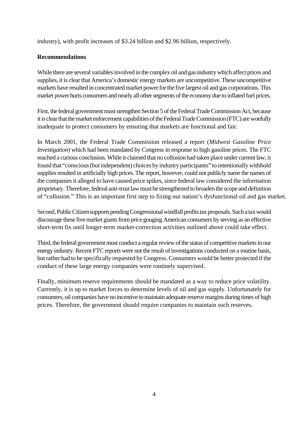industry), with profit increases of \$3.24 billion and \$2.96 billion, respectively.

## **Recommendations**

While there are several variables involved in the complex oil and gas industry which affect prices and supplies, it is clear that America's domestic energy markets are uncompetitive. These uncompetitive markets have resulted in concentrated market power for the five largest oil and gas corporations. This market power hurts consumers and nearly all other segments of the economy due to inflated fuel prices.

First, the federal government must strengthen Section 5 of the Federal Trade Commission Act, because it is clear that the market enforcement capabilities of the Federal Trade Commission (FTC) are woefully inadequate to protect consumers by ensuring that markets are functional and fair.

In March 2001, the Federal Trade Commission released a report (*Midwest Gasoline Price Investigation*) which had been mandated by Congress in response to high gasoline prices. The FTC reached a curious conclusion. While it claimed that no collusion had taken place under current law, it found that "conscious (but independent) choices by industry participants" to intentionally withhold supplies resulted in artificially high prices. The report, however, could not publicly name the names of the companies it alleged to have caused price spikes, since federal law considered the information proprietary. Therefore, federal anti-trust law must be strengthened to broaden the scope and definition of "collusion." This is an important first step to fixing our nation's dysfunctional oil and gas market.

Second, Public Citizen supports pending Congressional windfall profits tax proposals. Such a tax would discourage these five market giants from price gouging American consumers by serving as an effective short-term fix until longer-term market-correction activities outlined above could take effect.

Third, the federal government must conduct a regular review of the status of competitive markets in our energy industry. Recent FTC reports were not the result of investigations conducted on a routine basis, but rather had to be specifically requested by Congress. Consumers would be better protected if the conduct of these large energy companies were routinely supervised.

Finally, minimum reserve requirements should be mandated as a way to reduce price volatility. Currently, it is up to market forces to determine levels of oil and gas supply. Unfortunately for consumers, oil companies have no incentive to maintain adequate reserve margins during times of high prices. Therefore, the government should require companies to maintain such reserves.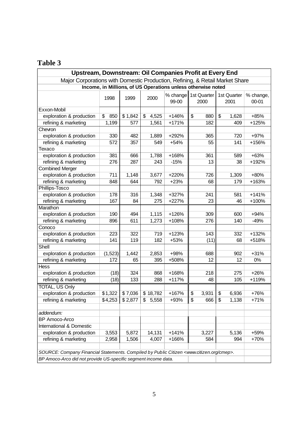# **Table 3**

| Upstream, Downstream: Oil Companies Profit at Every End                                                       |           |                     |             |                               |    |       |    |                     |                    |  |
|---------------------------------------------------------------------------------------------------------------|-----------|---------------------|-------------|-------------------------------|----|-------|----|---------------------|--------------------|--|
| Major Corporations with Domestic Production, Refining, & Retail Market Share                                  |           |                     |             |                               |    |       |    |                     |                    |  |
| Income, in Millions, of US Operations unless otherwise noted                                                  |           |                     |             |                               |    |       |    |                     |                    |  |
|                                                                                                               | 1998      | 1999                | 2000        | % change 1st Quarter<br>99-00 |    | 2000  |    | 1st Quarter<br>2001 | % change,<br>00-01 |  |
| Exxon-Mobil                                                                                                   |           |                     |             |                               |    |       |    |                     |                    |  |
| exploration & production                                                                                      | \$<br>850 | \$1,842             | \$<br>4,525 | $+146%$                       | \$ | 880   | \$ | 1,628               | $+85%$             |  |
| refining & marketing                                                                                          | 1,199     | 577                 | 1,561       | $+171%$                       |    | 182   |    | 409                 | +125%              |  |
| Chevron                                                                                                       |           |                     |             |                               |    |       |    |                     |                    |  |
| exploration & production                                                                                      | 330       | 482                 | 1,889       | +292%                         |    | 365   |    | 720                 | +97%               |  |
| refining & marketing                                                                                          | 572       | 357                 | 549         | $+54%$                        |    | 55    |    | 141                 | +156%              |  |
| Texaco                                                                                                        |           |                     |             |                               |    |       |    |                     |                    |  |
| exploration & production                                                                                      | 381       | 666                 | 1,788       | +168%                         |    | 361   |    | 589                 | $+63%$             |  |
| refining & marketing                                                                                          | 276       | 287                 | 243         | $-15%$                        |    | 13    |    | 38                  | +192%              |  |
| <b>Combined Merger</b>                                                                                        |           |                     |             |                               |    |       |    |                     |                    |  |
| exploration & production                                                                                      | 711       | 1,148               | 3,677       | +220%                         |    | 726   |    | 1,309               | +80%               |  |
| refining & marketing                                                                                          | 848       | 644                 | 792         | $+23%$                        |    | 68    |    | 179                 | +163%              |  |
| Phillips-Tosco                                                                                                |           |                     |             |                               |    |       |    |                     |                    |  |
| exploration & production                                                                                      | 178       | 316                 | 1,348       | +327%                         |    | 241   |    | 581                 | $+141%$            |  |
| refining & marketing                                                                                          | 167       | 84                  | 275         | +227%                         |    | 23    |    | 46                  | +100%              |  |
| Marathon                                                                                                      |           |                     |             |                               |    |       |    |                     |                    |  |
| exploration & production                                                                                      | 190       | 494                 | 1,115       | $+126%$                       |    | 309   |    | 600                 | $+94%$             |  |
| refining & marketing                                                                                          | 896       | 611                 | 1,273       | +108%                         |    | 276   |    | 140                 | $-49%$             |  |
| Conoco                                                                                                        |           |                     |             |                               |    |       |    |                     |                    |  |
| exploration & production                                                                                      | 223       | 322                 | 719         | $+123%$                       |    | 143   |    | 332                 | $+132%$            |  |
| refining & marketing                                                                                          | 141       | 119                 | 182         | +53%                          |    | (11)  |    | 68                  | +518%              |  |
| Shell                                                                                                         |           |                     |             |                               |    |       |    |                     |                    |  |
| exploration & production                                                                                      | (1,523)   | 1,442               | 2,853       | +98%                          |    | 688   |    | 902                 | $+31%$             |  |
| refining & marketing                                                                                          | 172       | 65                  | 395         | +508%                         |    | 12    |    | 12                  | $0\%$              |  |
| Hess                                                                                                          |           |                     |             |                               |    |       |    |                     |                    |  |
| exploration & production                                                                                      | (18)      | 324                 | 868         | +168%                         |    | 218   |    | 275                 | $+26%$             |  |
| refining & marketing                                                                                          | (18)      | 133                 | 288         | $+117%$                       |    | 48    |    | 105                 | +119%              |  |
| TOTAL, US Only                                                                                                |           |                     |             |                               |    |       |    |                     |                    |  |
| exploration & production                                                                                      | \$1,322   | $\overline{$}7,036$ | \$18,782    | +167%                         | \$ | 3,931 | \$ | 6,936               | +76%               |  |
| refining & marketing                                                                                          | \$4,253   | \$2,877             | \$<br>5,558 | +93%                          | \$ | 666   | \$ | 1,138               | $+71%$             |  |
|                                                                                                               |           |                     |             |                               |    |       |    |                     |                    |  |
| addendum:                                                                                                     |           |                     |             |                               |    |       |    |                     |                    |  |
| <b>BP Amoco-Arco</b>                                                                                          |           |                     |             |                               |    |       |    |                     |                    |  |
| International & Domestic                                                                                      |           |                     |             |                               |    |       |    |                     |                    |  |
| exploration & production                                                                                      | 3,553     | 5,872               | 14,131      | $+141%$                       |    | 3,227 |    | 5,136               | +59%               |  |
| refining & marketing                                                                                          | 2,958     | 1,506               | 4,007       | +166%                         |    | 584   |    | 994                 | +70%               |  |
|                                                                                                               |           |                     |             |                               |    |       |    |                     |                    |  |
| SOURCE: Company Financial Statements. Compiled by Public Citizen <www.citizen.org cmep="">.</www.citizen.org> |           |                     |             |                               |    |       |    |                     |                    |  |
| BP Amoco-Arco did not provide US-specific segment income data.                                                |           |                     |             |                               |    |       |    |                     |                    |  |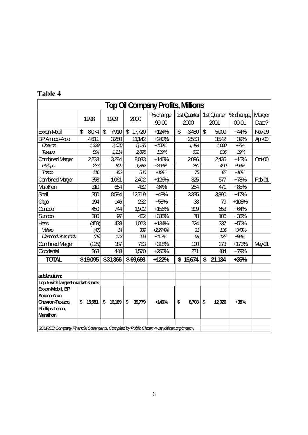| <b>Top Oil Company Profits, Millions</b>                                                                     |             |                                    |                          |                      |             |                                     |         |          |  |
|--------------------------------------------------------------------------------------------------------------|-------------|------------------------------------|--------------------------|----------------------|-------------|-------------------------------------|---------|----------|--|
|                                                                                                              |             |                                    |                          | % drange $\parallel$ |             | 1st Quarter 1st Quarter   % change, |         | Merger   |  |
|                                                                                                              | 1998        | 1999                               | 2000                     | 99-00                | 2000        | 2001                                | 0001    | Date?    |  |
| Exxon-Mobil                                                                                                  | \$<br>8,074 | $\boldsymbol{\mathsf{S}}$<br>7,910 | $\mathfrak{L}$<br>17,720 | $+124%$              | \$<br>3,480 | $\boldsymbol{\mathsf{S}}$<br>5,000  | $+44%$  | Nov-99   |  |
| BP Amoo-Arco                                                                                                 | 4,611       | 3,280                              | 11,142                   | $+240%$              | 2553        | 3,542                               | $+39%$  | $Ar - O$ |  |
| Chevron                                                                                                      | 1,339       | 2.070                              | 5,185                    | $+150%$              | 1,494       | 1,600                               | $+7%$   |          |  |
| Texaco                                                                                                       | 894         | 1,214                              | 2,898                    | $+139%$              | 602         | 836                                 | $+39%$  |          |  |
| <b>Combined Merger</b>                                                                                       | 2233        | 3,284                              | 8,083                    | $+146%$              | 2096        | 2436                                | $+16%$  | $Oct-00$ |  |
| Phillips                                                                                                     | 237         | 609                                | 1,862                    | $+206%$              | 250         | 490                                 | $+96%$  |          |  |
| $T0$ sco                                                                                                     | 116         | 452                                | 540                      | $+19%$               | 75          | 87                                  | $+16%$  |          |  |
| <b>Combined Merger</b>                                                                                       | 353         | 1,061                              | 2,402                    | $+126%$              | 325         | 577                                 | $+78%$  | Feb01    |  |
| Marathon                                                                                                     | 310         | 654                                | 432                      | $-34%$               | 254         | 471                                 | $+85%$  |          |  |
| Shell                                                                                                        | 350         | 8,584                              | 12,719                   | $+48%$               | 3,335       | 3,890                               | $+17%$  |          |  |
| Citgo                                                                                                        | 194         | 146                                | 232                      | +58%                 | 38          | 79                                  | $+108%$ |          |  |
| Concoo                                                                                                       | 450         | 744                                | 1,902                    | $+156%$              | 399         | 653                                 | $+64%$  |          |  |
| Suncco                                                                                                       | 280         | 97                                 | 422                      | $+335%$              | 78          | 106                                 | $+36%$  |          |  |
| Hess                                                                                                         | (459)       | 438                                | 1,023                    | $+134%$              | 224         | 337                                 | $+50%$  |          |  |
| Valero                                                                                                       | (47)        | 14                                 | 339                      | +2,274%              | 31          | 136                                 | $+343%$ |          |  |
| Diamond Shannock                                                                                             | (78)        | 173                                | 444                      | $+157%$              | 69          | 137                                 | $+98%$  |          |  |
| Combined Merger                                                                                              | (125)       | 187                                | 783                      | +318%                | 100         | 273                                 | $+173%$ | May-01   |  |
| Occidental                                                                                                   | 363         | 448                                | 1,570                    | $+250%$              | 271         | 484                                 | $+79%$  |          |  |
| <b>TOTAL</b>                                                                                                 | \$19,095    | \$31,366                           | \$69,698                 | $+122%$              | \$15,674    | \$<br>21,134                        | $+35%$  |          |  |
|                                                                                                              |             |                                    |                          |                      |             |                                     |         |          |  |
| addendum:                                                                                                    |             |                                    |                          |                      |             |                                     |         |          |  |
| Top 5 with largest market share:                                                                             |             |                                    |                          |                      |             |                                     |         |          |  |
| Exxon-Mobil, BP                                                                                              |             |                                    |                          |                      |             |                                     |         |          |  |
| Amoco-Arco,                                                                                                  |             |                                    |                          |                      |             |                                     |         |          |  |
| Chevron-Texaco,                                                                                              | \$ 15,581   | \$<br>16,189                       | \$<br>39,779             | $+146%$              | \$<br>8,708 | \$<br>12,026                        | $+38%$  |          |  |
| Phillips-Tosco,                                                                                              |             |                                    |                          |                      |             |                                     |         |          |  |
| <b>Marathon</b>                                                                                              |             |                                    |                          |                      |             |                                     |         |          |  |
| SOURCE Company Financial Statements. Compiled by Public Citizen <www.citizen.org cmep="">.</www.citizen.org> |             |                                    |                          |                      |             |                                     |         |          |  |

# **Table 4**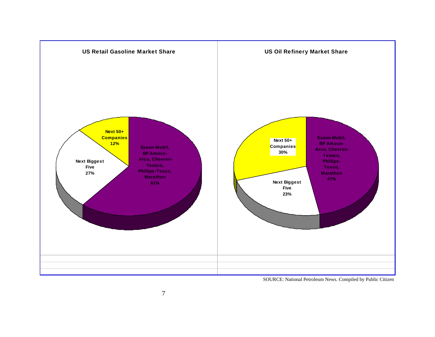

SOURCE: National Petroleum News. Compiled by Public Citizen